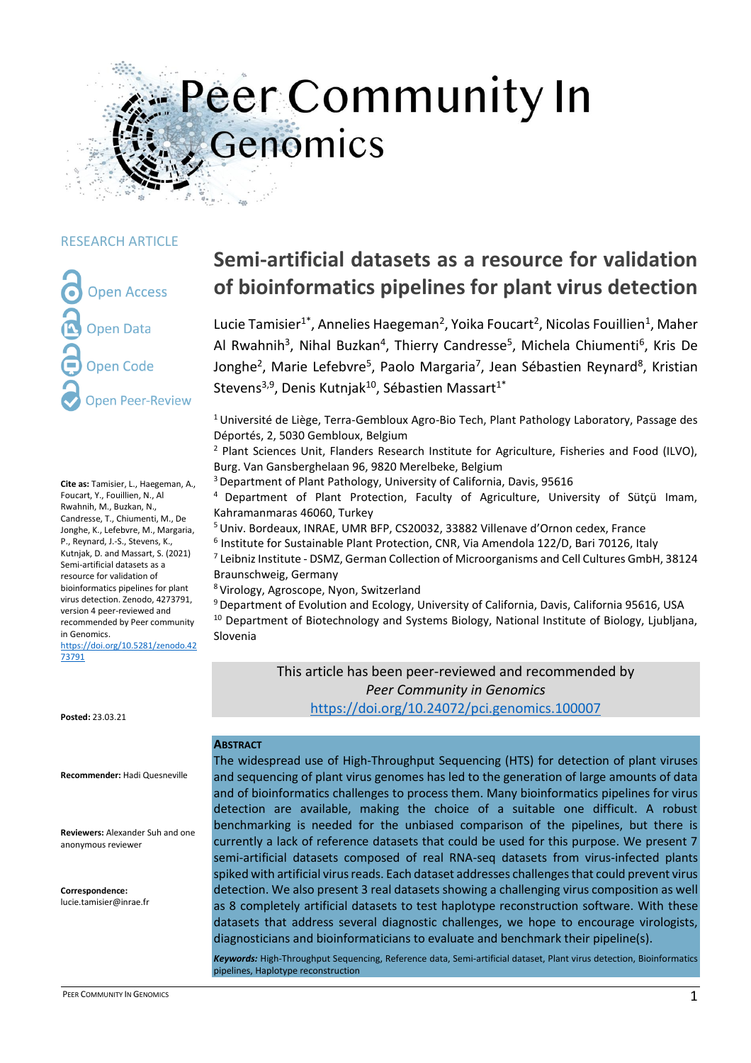# Peer Community In Genomics

#### RESEARCH ARTICLE

**Open Access Open Data Open Code Open Peer-Review** 

**Cite as:** Tamisier, L., Haegeman, A., Foucart, Y., Fouillien, N., Al Rwahnih, M., Buzkan, N., Candresse, T., Chiumenti, M., De Jonghe, K., Lefebvre, M., Margaria, P., Reynard, J.-S., Stevens, K., Kutnjak, D. and Massart, S. (2021) Semi-artificial datasets as a resource for validation of bioinformatics pipelines for plant virus detection. Zenodo, 4273791, version 4 peer-reviewed and recommended by Peer community in Genomics. [https://doi.org/10.5281/zenodo.42](https://doi.org/10.5281/zenodo.4273791) [73791](https://doi.org/10.5281/zenodo.4273791)

**Posted:** 23.03.21

**Recommender:** Hadi Quesneville

**Reviewers:** Alexander Suh and one anonymous reviewer

**Correspondence:** lucie.tamisier@inrae.fr

## **Semi-artificial datasets as a resource for validation of bioinformatics pipelines for plant virus detection**

Lucie Tamisier<sup>1\*</sup>, Annelies Haegeman<sup>2</sup>, Yoika Foucart<sup>2</sup>, Nicolas Fouillien<sup>1</sup>, Maher Al Rwahnih<sup>3</sup>, Nihal Buzkan<sup>4</sup>, Thierry Candresse<sup>5</sup>, Michela Chiumenti<sup>6</sup>, Kris De Jonghe<sup>2</sup>, Marie Lefebvre<sup>5</sup>, Paolo Margaria<sup>7</sup>, Jean Sébastien Reynard<sup>8</sup>, Kristian Stevens<sup>3,9</sup>, Denis Kutnjak<sup>10</sup>, Sébastien Massart<sup>1\*</sup>

 $1$ Université de Liège, Terra-Gembloux Agro-Bio Tech, Plant Pathology Laboratory, Passage des Déportés, 2, 5030 Gembloux, Belgium

<sup>2</sup> Plant Sciences Unit, Flanders Research Institute for Agriculture, Fisheries and Food (ILVO), Burg. Van Gansberghelaan 96, 9820 Merelbeke, Belgium

<sup>3</sup>Department of Plant Pathology, University of California, Davis, 95616

<sup>4</sup>Department of Plant Protection, Faculty of Agriculture, University of Sütçü Imam, Kahramanmaras 46060, Turkey

<sup>5</sup>Univ. Bordeaux, INRAE, UMR BFP, CS20032, 33882 Villenave d'Ornon cedex, France

6 Institute for Sustainable Plant Protection, CNR, Via Amendola 122/D, Bari 70126, Italy  $^7$  Leibniz Institute - DSMZ, German Collection of Microorganisms and Cell Cultures GmbH, 38124 Braunschweig, Germany

<sup>8</sup>Virology, Agroscope, Nyon, Switzerland

<sup>9</sup> Department of Evolution and Ecology, University of California, Davis, California 95616, USA <sup>10</sup> Department of Biotechnology and Systems Biology, National Institute of Biology, Ljubljana, Slovenia

> This article has been peer-reviewed and recommended by *Peer Community in Genomics* <https://doi.org/10.24072/pci.genomics.100007>

#### **ABSTRACT**

The widespread use of High-Throughput Sequencing (HTS) for detection of plant viruses and sequencing of plant virus genomes has led to the generation of large amounts of data and of bioinformatics challenges to process them. Many bioinformatics pipelines for virus detection are available, making the choice of a suitable one difficult. A robust benchmarking is needed for the unbiased comparison of the pipelines, but there is currently a lack of reference datasets that could be used for this purpose. We present 7 semi-artificial datasets composed of real RNA-seq datasets from virus-infected plants spiked with artificial virus reads. Each dataset addresses challenges that could prevent virus detection. We also present 3 real datasets showing a challenging virus composition as well as 8 completely artificial datasets to test haplotype reconstruction software. With these datasets that address several diagnostic challenges, we hope to encourage virologists, diagnosticians and bioinformaticians to evaluate and benchmark their pipeline(s).

*Keywords:* High-Throughput Sequencing, Reference data, Semi-artificial dataset, Plant virus detection, Bioinformatics pipelines, Haplotype reconstruction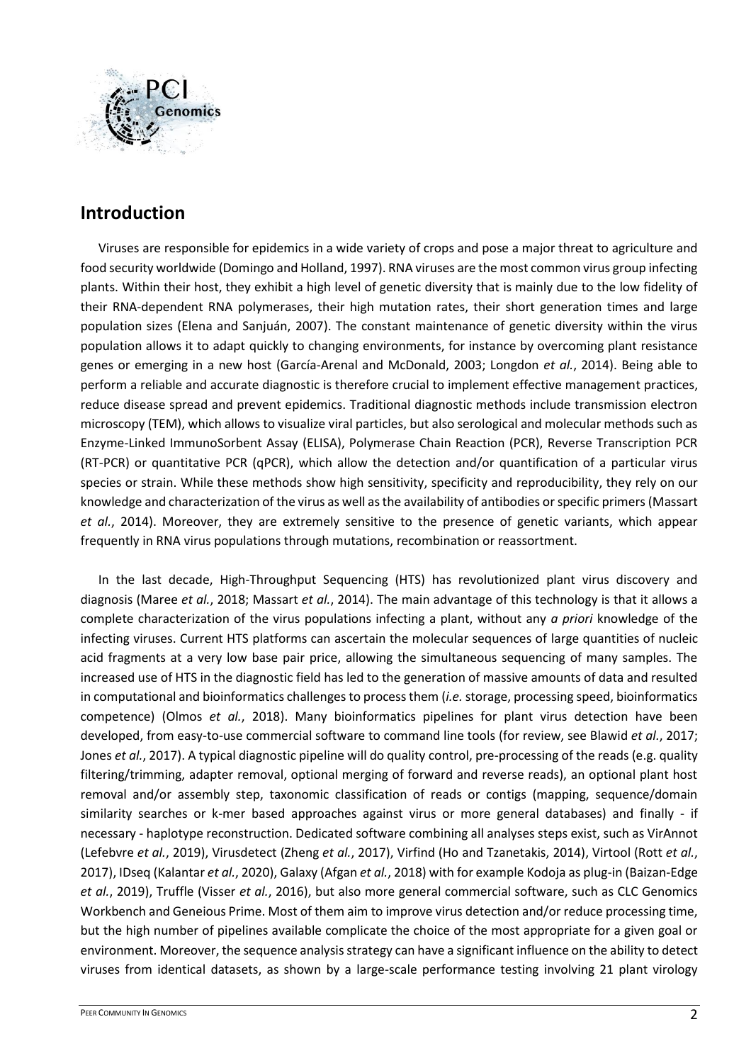

## **Introduction**

Viruses are responsible for epidemics in a wide variety of crops and pose a major threat to agriculture and food security worldwide (Domingo and Holland, 1997). RNA viruses are the most common virus group infecting plants. Within their host, they exhibit a high level of genetic diversity that is mainly due to the low fidelity of their RNA-dependent RNA polymerases, their high mutation rates, their short generation times and large population sizes (Elena and Sanjuán, 2007). The constant maintenance of genetic diversity within the virus population allows it to adapt quickly to changing environments, for instance by overcoming plant resistance genes or emerging in a new host (García-Arenal and McDonald, 2003; Longdon *et al.*, 2014). Being able to perform a reliable and accurate diagnostic is therefore crucial to implement effective management practices, reduce disease spread and prevent epidemics. Traditional diagnostic methods include transmission electron microscopy (TEM), which allows to visualize viral particles, but also serological and molecular methods such as Enzyme-Linked ImmunoSorbent Assay (ELISA), Polymerase Chain Reaction (PCR), Reverse Transcription PCR (RT-PCR) or quantitative PCR (qPCR), which allow the detection and/or quantification of a particular virus species or strain. While these methods show high sensitivity, specificity and reproducibility, they rely on our knowledge and characterization of the virus as well as the availability of antibodies or specific primers (Massart *et al.*, 2014). Moreover, they are extremely sensitive to the presence of genetic variants, which appear frequently in RNA virus populations through mutations, recombination or reassortment.

In the last decade, High-Throughput Sequencing (HTS) has revolutionized plant virus discovery and diagnosis (Maree *et al.*, 2018; Massart *et al.*, 2014). The main advantage of this technology is that it allows a complete characterization of the virus populations infecting a plant, without any *a priori* knowledge of the infecting viruses. Current HTS platforms can ascertain the molecular sequences of large quantities of nucleic acid fragments at a very low base pair price, allowing the simultaneous sequencing of many samples. The increased use of HTS in the diagnostic field has led to the generation of massive amounts of data and resulted in computational and bioinformatics challenges to process them (*i.e.*storage, processing speed, bioinformatics competence) (Olmos *et al.*, 2018). Many bioinformatics pipelines for plant virus detection have been developed, from easy-to-use commercial software to command line tools (for review, see Blawid *et al.*, 2017; Jones *et al.*, 2017). A typical diagnostic pipeline will do quality control, pre-processing of the reads (e.g. quality filtering/trimming, adapter removal, optional merging of forward and reverse reads), an optional plant host removal and/or assembly step, taxonomic classification of reads or contigs (mapping, sequence/domain similarity searches or k-mer based approaches against virus or more general databases) and finally - if necessary - haplotype reconstruction. Dedicated software combining all analyses steps exist, such as VirAnnot (Lefebvre *et al.*, 2019), Virusdetect (Zheng *et al.*, 2017), Virfind (Ho and Tzanetakis, 2014), Virtool (Rott *et al.*, 2017), IDseq (Kalantar *et al.*, 2020), Galaxy (Afgan *et al.*, 2018) with for example Kodoja as plug-in (Baizan-Edge *et al.*, 2019), Truffle (Visser *et al.*, 2016), but also more general commercial software, such as CLC Genomics Workbench and Geneious Prime. Most of them aim to improve virus detection and/or reduce processing time, but the high number of pipelines available complicate the choice of the most appropriate for a given goal or environment. Moreover, the sequence analysis strategy can have a significant influence on the ability to detect viruses from identical datasets, as shown by a large-scale performance testing involving 21 plant virology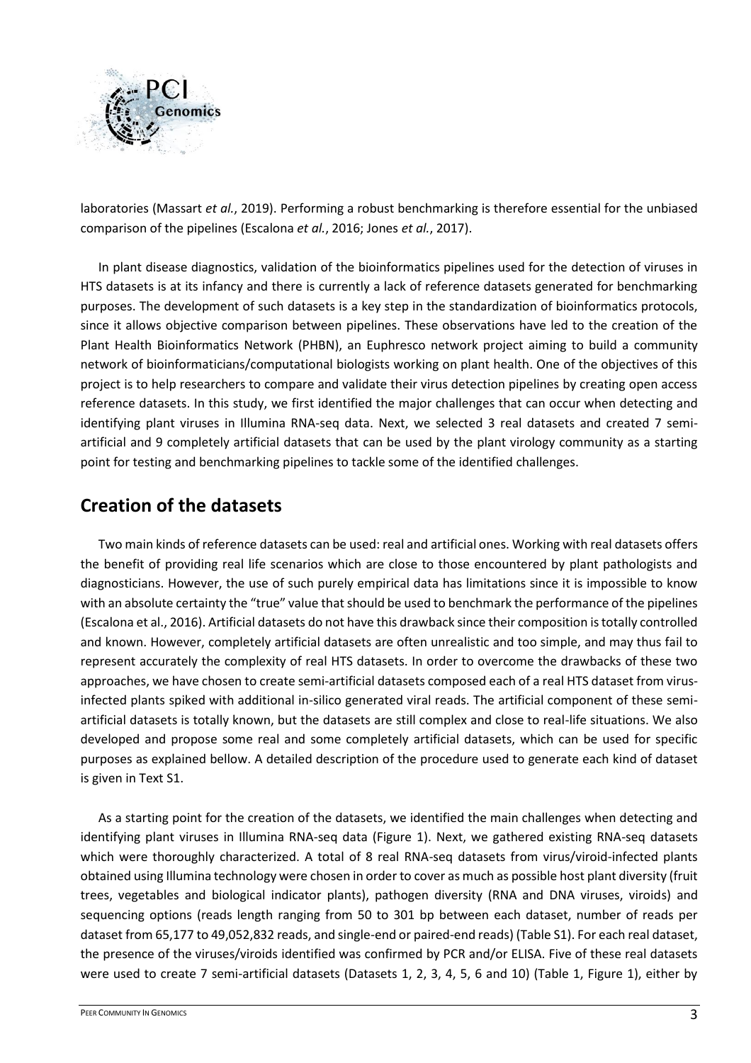

laboratories (Massart *et al.*, 2019). Performing a robust benchmarking is therefore essential for the unbiased comparison of the pipelines (Escalona *et al.*, 2016; Jones *et al.*, 2017).

In plant disease diagnostics, validation of the bioinformatics pipelines used for the detection of viruses in HTS datasets is at its infancy and there is currently a lack of reference datasets generated for benchmarking purposes. The development of such datasets is a key step in the standardization of bioinformatics protocols, since it allows objective comparison between pipelines. These observations have led to the creation of the Plant Health Bioinformatics Network (PHBN), an Euphresco network project aiming to build a community network of bioinformaticians/computational biologists working on plant health. One of the objectives of this project is to help researchers to compare and validate their virus detection pipelines by creating open access reference datasets. In this study, we first identified the major challenges that can occur when detecting and identifying plant viruses in Illumina RNA-seq data. Next, we selected 3 real datasets and created 7 semiartificial and 9 completely artificial datasets that can be used by the plant virology community as a starting point for testing and benchmarking pipelines to tackle some of the identified challenges.

## **Creation of the datasets**

Two main kinds of reference datasets can be used: real and artificial ones. Working with real datasets offers the benefit of providing real life scenarios which are close to those encountered by plant pathologists and diagnosticians. However, the use of such purely empirical data has limitations since it is impossible to know with an absolute certainty the "true" value that should be used to benchmark the performance of the pipelines (Escalona et al., 2016). Artificial datasets do not have this drawback since their composition is totally controlled and known. However, completely artificial datasets are often unrealistic and too simple, and may thus fail to represent accurately the complexity of real HTS datasets. In order to overcome the drawbacks of these two approaches, we have chosen to create semi-artificial datasets composed each of a real HTS dataset from virusinfected plants spiked with additional in-silico generated viral reads. The artificial component of these semiartificial datasets is totally known, but the datasets are still complex and close to real-life situations. We also developed and propose some real and some completely artificial datasets, which can be used for specific purposes as explained bellow. A detailed description of the procedure used to generate each kind of dataset is given in Text S1.

As a starting point for the creation of the datasets, we identified the main challenges when detecting and identifying plant viruses in Illumina RNA-seq data (Figure 1). Next, we gathered existing RNA-seq datasets which were thoroughly characterized. A total of 8 real RNA-seq datasets from virus/viroid-infected plants obtained using Illumina technology were chosen in order to cover as much as possible host plant diversity (fruit trees, vegetables and biological indicator plants), pathogen diversity (RNA and DNA viruses, viroids) and sequencing options (reads length ranging from 50 to 301 bp between each dataset, number of reads per dataset from 65,177 to 49,052,832 reads, and single-end or paired-end reads) (Table S1). For each real dataset, the presence of the viruses/viroids identified was confirmed by PCR and/or ELISA. Five of these real datasets were used to create 7 semi-artificial datasets (Datasets 1, 2, 3, 4, 5, 6 and 10) (Table 1, Figure 1), either by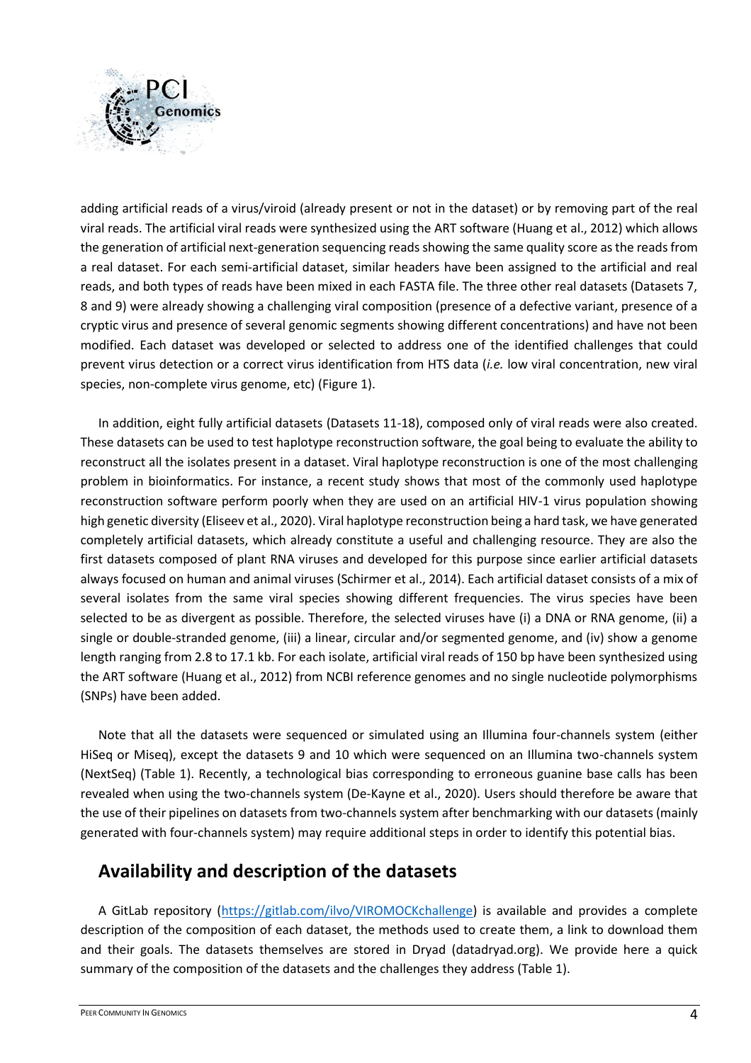

adding artificial reads of a virus/viroid (already present or not in the dataset) or by removing part of the real viral reads. The artificial viral reads were synthesized using the ART software (Huang et al., 2012) which allows the generation of artificial next-generation sequencing reads showing the same quality score as the reads from a real dataset. For each semi-artificial dataset, similar headers have been assigned to the artificial and real reads, and both types of reads have been mixed in each FASTA file. The three other real datasets (Datasets 7, 8 and 9) were already showing a challenging viral composition (presence of a defective variant, presence of a cryptic virus and presence of several genomic segments showing different concentrations) and have not been modified. Each dataset was developed or selected to address one of the identified challenges that could prevent virus detection or a correct virus identification from HTS data (*i.e.* low viral concentration, new viral species, non-complete virus genome, etc) (Figure 1).

In addition, eight fully artificial datasets (Datasets 11-18), composed only of viral reads were also created. These datasets can be used to test haplotype reconstruction software, the goal being to evaluate the ability to reconstruct all the isolates present in a dataset. Viral haplotype reconstruction is one of the most challenging problem in bioinformatics. For instance, a recent study shows that most of the commonly used haplotype reconstruction software perform poorly when they are used on an artificial HIV-1 virus population showing high genetic diversity (Eliseev et al., 2020). Viral haplotype reconstruction being a hard task, we have generated completely artificial datasets, which already constitute a useful and challenging resource. They are also the first datasets composed of plant RNA viruses and developed for this purpose since earlier artificial datasets always focused on human and animal viruses (Schirmer et al., 2014). Each artificial dataset consists of a mix of several isolates from the same viral species showing different frequencies. The virus species have been selected to be as divergent as possible. Therefore, the selected viruses have (i) a DNA or RNA genome, (ii) a single or double-stranded genome, (iii) a linear, circular and/or segmented genome, and (iv) show a genome length ranging from 2.8 to 17.1 kb. For each isolate, artificial viral reads of 150 bp have been synthesized using the ART software (Huang et al., 2012) from NCBI reference genomes and no single nucleotide polymorphisms (SNPs) have been added.

Note that all the datasets were sequenced or simulated using an Illumina four-channels system (either HiSeq or Miseq), except the datasets 9 and 10 which were sequenced on an Illumina two-channels system (NextSeq) (Table 1). Recently, a technological bias corresponding to erroneous guanine base calls has been revealed when using the two-channels system (De‐Kayne et al., 2020). Users should therefore be aware that the use of their pipelines on datasets from two-channels system after benchmarking with our datasets (mainly generated with four-channels system) may require additional steps in order to identify this potential bias.

### **Availability and description of the datasets**

A GitLab repository [\(https://gitlab.com/ilvo/VIROMOCKchallenge\)](https://gitlab.com/ilvo/VIROMOCKchallenge) is available and provides a complete description of the composition of each dataset, the methods used to create them, a link to download them and their goals. The datasets themselves are stored in Dryad (datadryad.org). We provide here a quick summary of the composition of the datasets and the challenges they address (Table 1).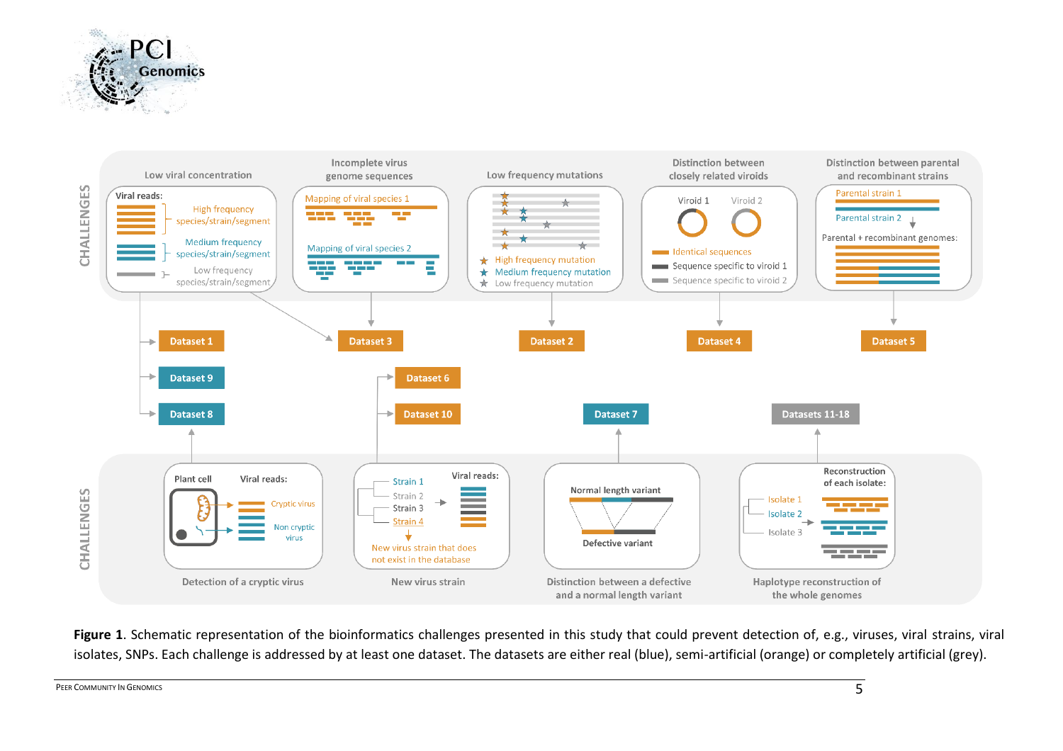



Figure 1. Schematic representation of the bioinformatics challenges presented in this study that could prevent detection of, e.g., viruses, viral strains, viral isolates, SNPs. Each challenge is addressed by at least one dataset. The datasets are either real (blue), semi-artificial (orange) or completely artificial (grey).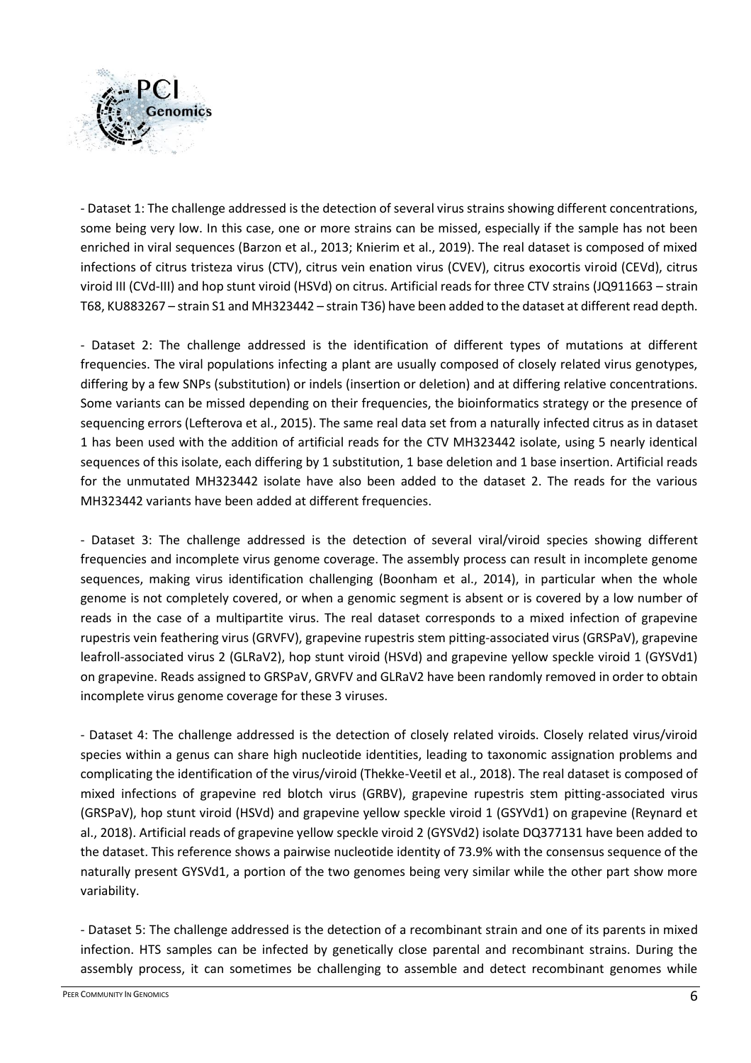

- Dataset 1: The challenge addressed is the detection of several virus strains showing different concentrations, some being very low. In this case, one or more strains can be missed, especially if the sample has not been enriched in viral sequences (Barzon et al., 2013; Knierim et al., 2019). The real dataset is composed of mixed infections of citrus tristeza virus (CTV), citrus vein enation virus (CVEV), citrus exocortis viroid (CEVd), citrus viroid III (CVd-III) and hop stunt viroid (HSVd) on citrus. Artificial reads for three CTV strains (JQ911663 – strain T68, KU883267 – strain S1 and MH323442 – strain T36) have been added to the dataset at different read depth.

- Dataset 2: The challenge addressed is the identification of different types of mutations at different frequencies. The viral populations infecting a plant are usually composed of closely related virus genotypes, differing by a few SNPs (substitution) or indels (insertion or deletion) and at differing relative concentrations. Some variants can be missed depending on their frequencies, the bioinformatics strategy or the presence of sequencing errors (Lefterova et al., 2015). The same real data set from a naturally infected citrus as in dataset 1 has been used with the addition of artificial reads for the CTV MH323442 isolate, using 5 nearly identical sequences of this isolate, each differing by 1 substitution, 1 base deletion and 1 base insertion. Artificial reads for the unmutated MH323442 isolate have also been added to the dataset 2. The reads for the various MH323442 variants have been added at different frequencies.

- Dataset 3: The challenge addressed is the detection of several viral/viroid species showing different frequencies and incomplete virus genome coverage. The assembly process can result in incomplete genome sequences, making virus identification challenging (Boonham et al., 2014), in particular when the whole genome is not completely covered, or when a genomic segment is absent or is covered by a low number of reads in the case of a multipartite virus. The real dataset corresponds to a mixed infection of grapevine rupestris vein feathering virus (GRVFV), grapevine rupestris stem pitting-associated virus (GRSPaV), grapevine leafroll-associated virus 2 (GLRaV2), hop stunt viroid (HSVd) and grapevine yellow speckle viroid 1 (GYSVd1) on grapevine. Reads assigned to GRSPaV, GRVFV and GLRaV2 have been randomly removed in order to obtain incomplete virus genome coverage for these 3 viruses.

- Dataset 4: The challenge addressed is the detection of closely related viroids. Closely related virus/viroid species within a genus can share high nucleotide identities, leading to taxonomic assignation problems and complicating the identification of the virus/viroid (Thekke-Veetil et al., 2018). The real dataset is composed of mixed infections of grapevine red blotch virus (GRBV), grapevine rupestris stem pitting-associated virus (GRSPaV), hop stunt viroid (HSVd) and grapevine yellow speckle viroid 1 (GSYVd1) on grapevine (Reynard et al., 2018). Artificial reads of grapevine yellow speckle viroid 2 (GYSVd2) isolate DQ377131 have been added to the dataset. This reference shows a pairwise nucleotide identity of 73.9% with the consensus sequence of the naturally present GYSVd1, a portion of the two genomes being very similar while the other part show more variability.

- Dataset 5: The challenge addressed is the detection of a recombinant strain and one of its parents in mixed infection. HTS samples can be infected by genetically close parental and recombinant strains. During the assembly process, it can sometimes be challenging to assemble and detect recombinant genomes while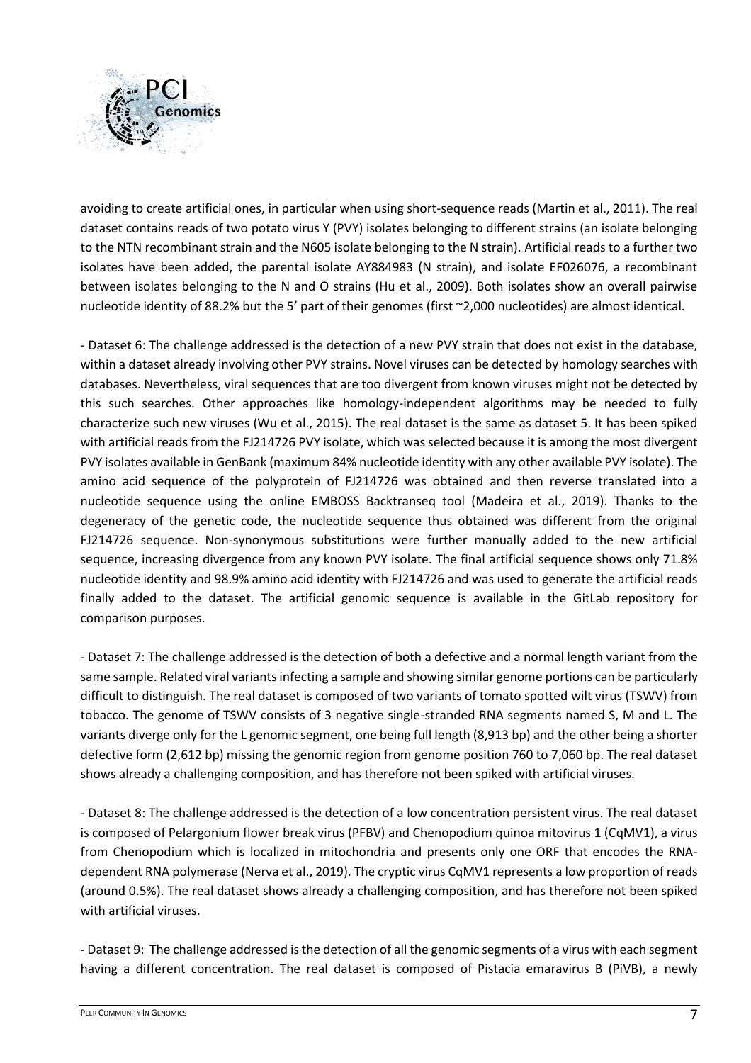

avoiding to create artificial ones, in particular when using short-sequence reads (Martin et al., 2011). The real dataset contains reads of two potato virus Y (PVY) isolates belonging to different strains (an isolate belonging to the NTN recombinant strain and the N605 isolate belonging to the N strain). Artificial reads to a further two isolates have been added, the parental isolate AY884983 (N strain), and isolate EF026076, a recombinant between isolates belonging to the N and O strains (Hu et al., 2009). Both isolates show an overall pairwise nucleotide identity of 88.2% but the 5' part of their genomes (first ~2,000 nucleotides) are almost identical.

- Dataset 6: The challenge addressed is the detection of a new PVY strain that does not exist in the database, within a dataset already involving other PVY strains. Novel viruses can be detected by homology searches with databases. Nevertheless, viral sequences that are too divergent from known viruses might not be detected by this such searches. Other approaches like homology-independent algorithms may be needed to fully characterize such new viruses (Wu et al., 2015). The real dataset is the same as dataset 5. It has been spiked with artificial reads from the FJ214726 PVY isolate, which was selected because it is among the most divergent PVY isolates available in GenBank (maximum 84% nucleotide identity with any other available PVY isolate). The amino acid sequence of the polyprotein of FJ214726 was obtained and then reverse translated into a nucleotide sequence using the online EMBOSS Backtranseq tool (Madeira et al., 2019). Thanks to the degeneracy of the genetic code, the nucleotide sequence thus obtained was different from the original FJ214726 sequence. Non-synonymous substitutions were further manually added to the new artificial sequence, increasing divergence from any known PVY isolate. The final artificial sequence shows only 71.8% nucleotide identity and 98.9% amino acid identity with FJ214726 and was used to generate the artificial reads finally added to the dataset. The artificial genomic sequence is available in the GitLab repository for comparison purposes.

- Dataset 7: The challenge addressed is the detection of both a defective and a normal length variant from the same sample. Related viral variants infecting a sample and showing similar genome portions can be particularly difficult to distinguish. The real dataset is composed of two variants of tomato spotted wilt virus (TSWV) from tobacco. The genome of TSWV consists of 3 negative single-stranded RNA segments named S, M and L. The variants diverge only for the L genomic segment, one being full length (8,913 bp) and the other being a shorter defective form (2,612 bp) missing the genomic region from genome position 760 to 7,060 bp. The real dataset shows already a challenging composition, and has therefore not been spiked with artificial viruses.

- Dataset 8: The challenge addressed is the detection of a low concentration persistent virus. The real dataset is composed of Pelargonium flower break virus (PFBV) and Chenopodium quinoa mitovirus 1 (CqMV1), a virus from Chenopodium which is localized in mitochondria and presents only one ORF that encodes the RNAdependent RNA polymerase (Nerva et al., 2019). The cryptic virus CqMV1 represents a low proportion of reads (around 0.5%). The real dataset shows already a challenging composition, and has therefore not been spiked with artificial viruses.

- Dataset 9: The challenge addressed is the detection of all the genomic segments of a virus with each segment having a different concentration. The real dataset is composed of Pistacia emaravirus B (PiVB), a newly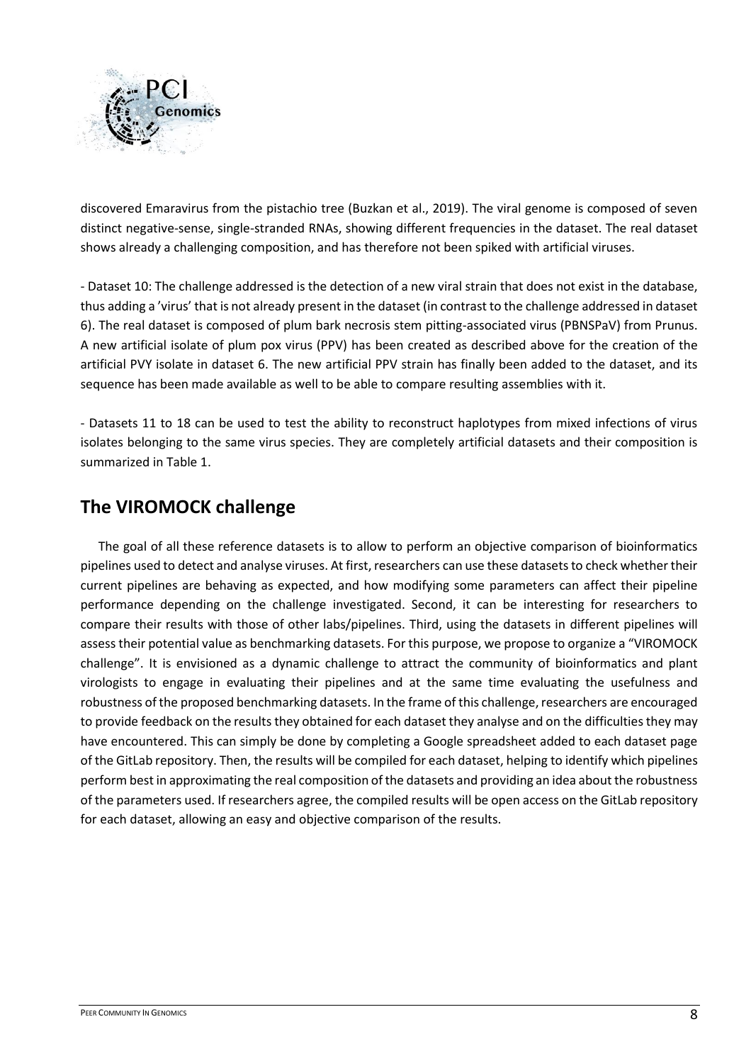

discovered Emaravirus from the pistachio tree (Buzkan et al., 2019). The viral genome is composed of seven distinct negative-sense, single-stranded RNAs, showing different frequencies in the dataset. The real dataset shows already a challenging composition, and has therefore not been spiked with artificial viruses.

- Dataset 10: The challenge addressed is the detection of a new viral strain that does not exist in the database, thus adding a 'virus' that is not already present in the dataset (in contrast to the challenge addressed in dataset 6). The real dataset is composed of plum bark necrosis stem pitting-associated virus (PBNSPaV) from Prunus. A new artificial isolate of plum pox virus (PPV) has been created as described above for the creation of the artificial PVY isolate in dataset 6. The new artificial PPV strain has finally been added to the dataset, and its sequence has been made available as well to be able to compare resulting assemblies with it.

- Datasets 11 to 18 can be used to test the ability to reconstruct haplotypes from mixed infections of virus isolates belonging to the same virus species. They are completely artificial datasets and their composition is summarized in Table 1.

## **The VIROMOCK challenge**

The goal of all these reference datasets is to allow to perform an objective comparison of bioinformatics pipelines used to detect and analyse viruses. At first, researchers can use these datasets to check whether their current pipelines are behaving as expected, and how modifying some parameters can affect their pipeline performance depending on the challenge investigated. Second, it can be interesting for researchers to compare their results with those of other labs/pipelines. Third, using the datasets in different pipelines will assess their potential value as benchmarking datasets. For this purpose, we propose to organize a "VIROMOCK challenge". It is envisioned as a dynamic challenge to attract the community of bioinformatics and plant virologists to engage in evaluating their pipelines and at the same time evaluating the usefulness and robustness of the proposed benchmarking datasets. In the frame of this challenge, researchers are encouraged to provide feedback on the results they obtained for each dataset they analyse and on the difficulties they may have encountered. This can simply be done by completing a Google spreadsheet added to each dataset page of the GitLab repository. Then, the results will be compiled for each dataset, helping to identify which pipelines perform best in approximating the real composition of the datasets and providing an idea about the robustness of the parameters used. If researchers agree, the compiled results will be open access on the GitLab repository for each dataset, allowing an easy and objective comparison of the results.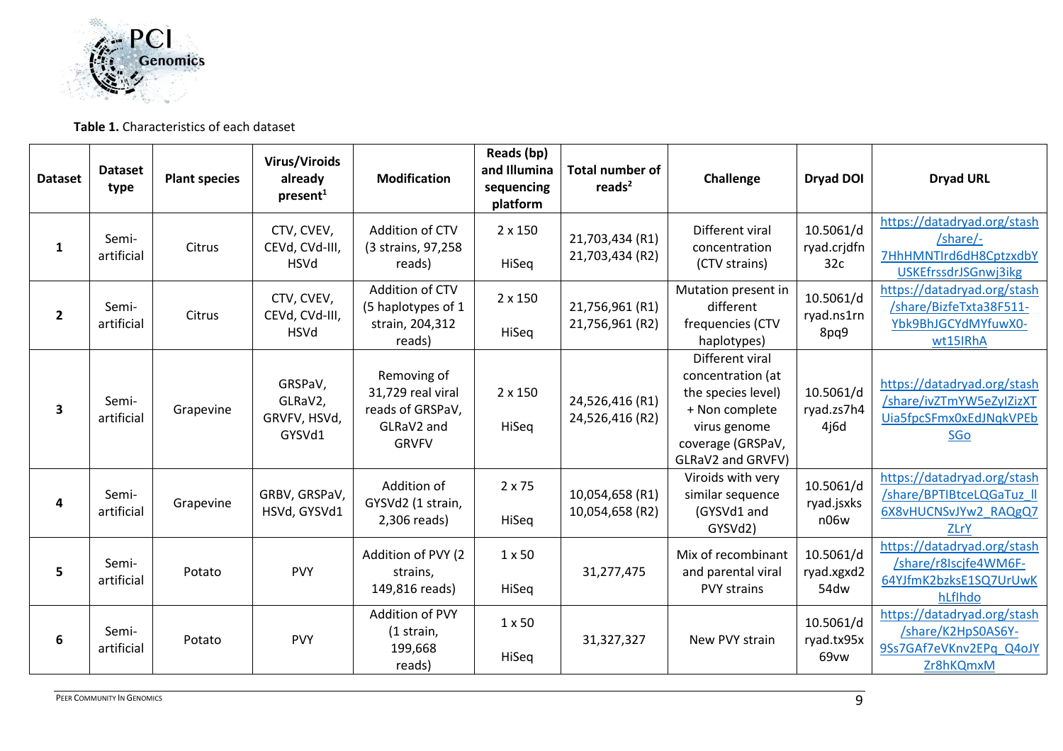

#### **Table 1.** Characteristics of each dataset

| <b>Dataset</b> | <b>Dataset</b><br>type | <b>Plant species</b> | Virus/Viroids<br>already<br>present <sup>1</sup> | <b>Modification</b>                                                                | Reads (bp)<br>and Illumina<br>sequencing<br>platform | <b>Total number of</b><br>reads $2$ | Challenge                                                                                                                              | Dryad DOI                       | <b>Dryad URL</b>                                                                                 |
|----------------|------------------------|----------------------|--------------------------------------------------|------------------------------------------------------------------------------------|------------------------------------------------------|-------------------------------------|----------------------------------------------------------------------------------------------------------------------------------------|---------------------------------|--------------------------------------------------------------------------------------------------|
| $\mathbf{1}$   | Semi-<br>artificial    | Citrus               | CTV, CVEV,<br>CEVd, CVd-III,<br><b>HSVd</b>      | Addition of CTV<br>(3 strains, 97,258<br>reads)                                    | 2 x 150<br>HiSeq                                     | 21,703,434 (R1)<br>21,703,434 (R2)  | Different viral<br>concentration<br>(CTV strains)                                                                                      | 10.5061/d<br>ryad.crjdfn<br>32c | https://datadryad.org/stash<br>/share/-<br>7HhHMNTIrd6dH8CptzxdbY<br>USKEfrssdrJSGnwj3ikg        |
| $\overline{2}$ | Semi-<br>artificial    | Citrus               | CTV, CVEV,<br>CEVd, CVd-III,<br><b>HSVd</b>      | Addition of CTV<br>(5 haplotypes of 1<br>strain, 204,312<br>reads)                 | 2 x 150<br>HiSeq                                     | 21,756,961 (R1)<br>21,756,961 (R2)  | Mutation present in<br>different<br>frequencies (CTV<br>haplotypes)                                                                    | 10.5061/d<br>ryad.ns1rn<br>8pq9 | https://datadryad.org/stash<br>/share/BizfeTxta38F511-<br>Ybk9BhJGCYdMYfuwX0-<br>wt15IRhA        |
| 3              | Semi-<br>artificial    | Grapevine            | GRSPaV,<br>GLRaV2,<br>GRVFV, HSVd,<br>GYSVd1     | Removing of<br>31,729 real viral<br>reads of GRSPaV,<br>GLRaV2 and<br><b>GRVFV</b> | 2 x 150<br>HiSeq                                     | 24,526,416 (R1)<br>24,526,416 (R2)  | Different viral<br>concentration (at<br>the species level)<br>+ Non complete<br>virus genome<br>coverage (GRSPaV,<br>GLRaV2 and GRVFV) | 10.5061/d<br>ryad.zs7h4<br>4j6d | https://datadryad.org/stash<br>/share/ivZTmYW5eZyIZizXT<br>Uia5fpcSFmx0xEdJNqkVPEb<br><b>SGo</b> |
| 4              | Semi-<br>artificial    | Grapevine            | GRBV, GRSPaV,<br>HSVd, GYSVd1                    | Addition of<br>GYSVd2 (1 strain,<br>2,306 reads)                                   | 2 x 75<br>HiSeq                                      | 10,054,658 (R1)<br>10,054,658 (R2)  | Viroids with very<br>similar sequence<br>(GYSVd1 and<br>GYSVd2)                                                                        | 10.5061/d<br>ryad.jsxks<br>n06w | https://datadryad.org/stash<br>/share/BPTIBtceLQGaTuz II<br>6X8vHUCNSvJYw2 RAQgQ7<br>ZLrY        |
| 5              | Semi-<br>artificial    | Potato               | <b>PVY</b>                                       | Addition of PVY (2<br>strains,<br>149,816 reads)                                   | $1 \times 50$<br>HiSeq                               | 31,277,475                          | Mix of recombinant<br>and parental viral<br><b>PVY strains</b>                                                                         | 10.5061/d<br>ryad.xgxd2<br>54dw | https://datadryad.org/stash<br>/share/r8Iscjfe4WM6F-<br>64YJfmK2bzksE1SQ7UrUwK<br>hLflhdo        |
| 6              | Semi-<br>artificial    | Potato               | <b>PVY</b>                                       | Addition of PVY<br>(1 strain,<br>199,668<br>reads)                                 | $1 \times 50$<br>HiSeq                               | 31,327,327                          | New PVY strain                                                                                                                         | 10.5061/d<br>ryad.tx95x<br>69vw | https://datadryad.org/stash<br>/share/K2HpS0AS6Y-<br>9Ss7GAf7eVKnv2EPq Q4oJY<br>Zr8hKQmxM        |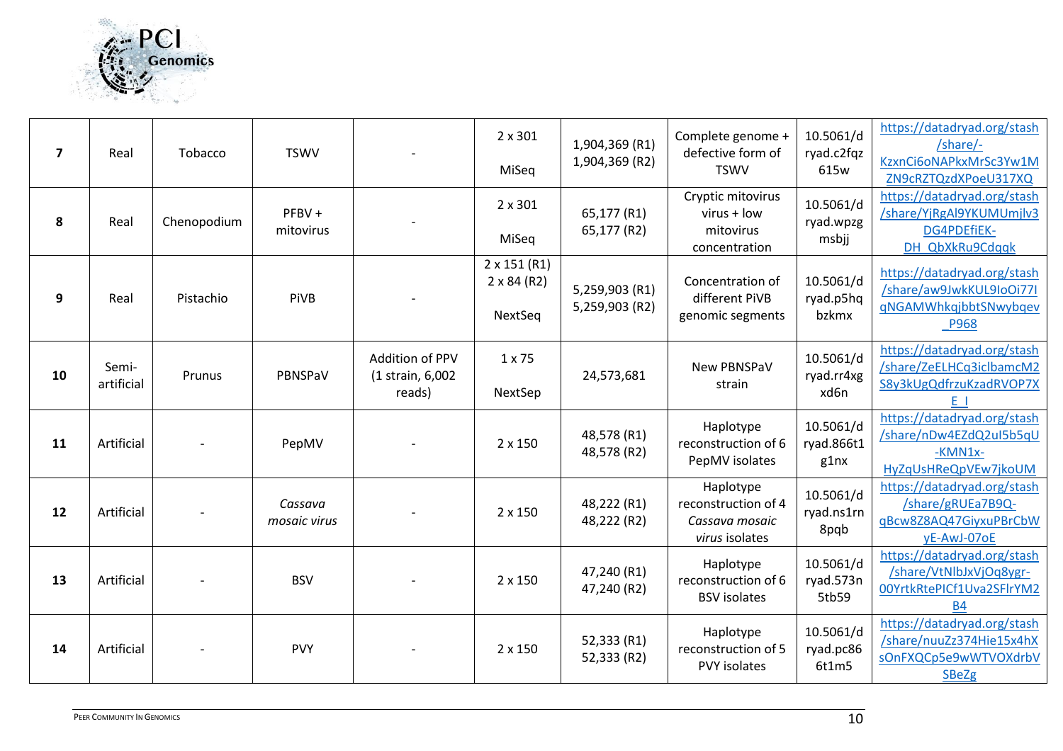

| $\overline{\mathbf{z}}$ | Real                | Tobacco     | <b>TSWV</b>             |                                               | 2 x 301<br>MiSeq                                     | 1,904,369 (R1)<br>1,904,369 (R2) | Complete genome +<br>defective form of<br><b>TSWV</b>                | 10.5061/d<br>ryad.c2fqz<br>615w | https://datadryad.org/stash<br>/share/-<br>KzxnCi6oNAPkxMrSc3Yw1M<br>ZN9cRZTQzdXPoeU317XQ        |
|-------------------------|---------------------|-------------|-------------------------|-----------------------------------------------|------------------------------------------------------|----------------------------------|----------------------------------------------------------------------|---------------------------------|--------------------------------------------------------------------------------------------------|
| 8                       | Real                | Chenopodium | PFBV +<br>mitovirus     |                                               | 2 x 301<br>MiSeq                                     | 65,177 (R1)<br>65,177 (R2)       | Cryptic mitovirus<br>virus + low<br>mitovirus<br>concentration       | 10.5061/d<br>ryad.wpzg<br>msbjj | https://datadryad.org/stash<br>/share/YjRgAl9YKUMUmjlv3<br>DG4PDEfiEK-<br>DH QbXkRu9Cdqqk        |
| 9                       | Real                | Pistachio   | PiVB                    |                                               | $2 \times 151$ (R1)<br>$2 \times 84$ (R2)<br>NextSeq | 5,259,903 (R1)<br>5,259,903 (R2) | Concentration of<br>different PiVB<br>genomic segments               | 10.5061/d<br>ryad.p5hq<br>bzkmx | https://datadryad.org/stash<br>/share/aw9JwkKUL9IoOi77I<br>qNGAMWhkqjbbtSNwybqev<br><b>P968</b>  |
| 10                      | Semi-<br>artificial | Prunus      | PBNSPaV                 | Addition of PPV<br>(1 strain, 6,002<br>reads) | $1 \times 75$<br>NextSep                             | 24,573,681                       | New PBNSPaV<br>strain                                                | 10.5061/d<br>ryad.rr4xg<br>xd6n | https://datadryad.org/stash<br>/share/ZeELHCq3iclbamcM2<br>S8y3kUgQdfrzuKzadRVOP7X<br>E I        |
| 11                      | Artificial          |             | PepMV                   |                                               | 2 x 150                                              | 48,578 (R1)<br>48,578 (R2)       | Haplotype<br>reconstruction of 6<br>PepMV isolates                   | 10.5061/d<br>ryad.866t1<br>g1nx | https://datadryad.org/stash<br>/share/nDw4EZdQ2uI5b5qU<br>$-KMN1x-$<br>HyZqUsHReQpVEw7jkoUM      |
| 12                      | Artificial          |             | Cassava<br>mosaic virus |                                               | 2 x 150                                              | 48,222 (R1)<br>48,222 (R2)       | Haplotype<br>reconstruction of 4<br>Cassava mosaic<br>virus isolates | 10.5061/d<br>ryad.ns1rn<br>8pqb | https://datadryad.org/stash<br>/share/gRUEa7B9Q-<br>qBcw8Z8AQ47GiyxuPBrCbW<br>yE-AwJ-07oE        |
| 13                      | Artificial          |             | <b>BSV</b>              |                                               | 2 x 150                                              | 47,240 (R1)<br>47,240 (R2)       | Haplotype<br>reconstruction of 6<br><b>BSV</b> isolates              | 10.5061/d<br>ryad.573n<br>5tb59 | https://datadryad.org/stash<br>/share/VtNlbJxVjOq8ygr-<br>00YrtkRtePICf1Uva2SFlrYM2<br><b>B4</b> |
| 14                      | Artificial          |             | <b>PVY</b>              |                                               | 2 x 150                                              | 52,333 (R1)<br>52,333 (R2)       | Haplotype<br>reconstruction of 5<br>PVY isolates                     | 10.5061/d<br>ryad.pc86<br>6t1m5 | https://datadryad.org/stash<br>/share/nuuZz374Hie15x4hX<br>sOnFXQCp5e9wWTVOXdrbV<br><b>SBeZg</b> |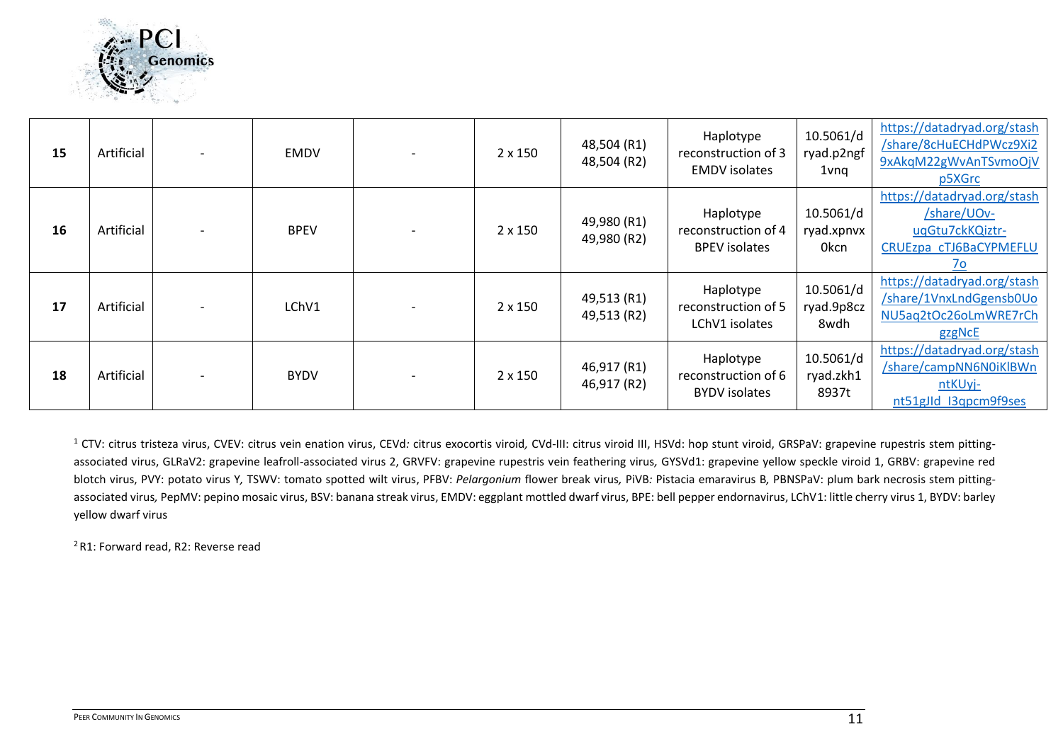

| 15 | Artificial |                          | <b>EMDV</b> | $2 \times 150$ | 48,504 (R1)<br>48,504 (R2) | Haplotype<br>reconstruction of 3<br><b>EMDV</b> isolates | 10.5061/d<br>ryad.p2ngf<br>1vnq | https://datadryad.org/stash<br>/share/8cHuECHdPWcz9Xi2<br>9xAkqM22gWvAnTSvmoOjV<br>p5XGrc                 |
|----|------------|--------------------------|-------------|----------------|----------------------------|----------------------------------------------------------|---------------------------------|-----------------------------------------------------------------------------------------------------------|
| 16 | Artificial |                          | <b>BPEV</b> | $2 \times 150$ | 49,980 (R1)<br>49,980 (R2) | Haplotype<br>reconstruction of 4<br><b>BPEV</b> isolates | 10.5061/d<br>ryad.xpnvx<br>0kcn | https://datadryad.org/stash<br>/share/UOv-<br>uqGtu7ckKQiztr-<br>CRUEzpa cTJ6BaCYPMEFLU<br>$\frac{70}{2}$ |
| 17 | Artificial | $\overline{\phantom{a}}$ | LChV1       | $2 \times 150$ | 49,513 (R1)<br>49,513 (R2) | Haplotype<br>reconstruction of 5<br>LChV1 isolates       | 10.5061/d<br>ryad.9p8cz<br>8wdh | https://datadryad.org/stash<br>/share/1VnxLndGgensb0Uo<br>NU5aq2tOc26oLmWRE7rCh<br>gzgNcE                 |
| 18 | Artificial |                          | <b>BYDV</b> | 2 x 150        | 46,917 (R1)<br>46,917 (R2) | Haplotype<br>reconstruction of 6<br><b>BYDV</b> isolates | 10.5061/d<br>ryad.zkh1<br>8937t | https://datadryad.org/stash<br>/share/campNN6N0iKlBWn<br>ntKUyj-<br>nt51gJld I3qpcm9f9ses                 |

<sup>1</sup> CTV: citrus tristeza virus, CVEV: citrus vein enation virus, CEVd: citrus exocortis viroid, CVd-III: citrus viroid III, HSVd: hop stunt viroid, GRSPaV: grapevine rupestris stem pittingassociated virus, GLRaV2: grapevine leafroll-associated virus 2, GRVFV: grapevine rupestris vein feathering virus*,* GYSVd1: grapevine yellow speckle viroid 1, GRBV: grapevine red blotch virus, PVY: potato virus Y*,* TSWV: tomato spotted wilt virus, PFBV: *Pelargonium* flower break virus*,* PiVB*:* Pistacia emaravirus B*,* PBNSPaV: plum bark necrosis stem pittingassociated virus, PepMV: pepino mosaic virus, BSV: banana streak virus, EMDV: eggplant mottled dwarf virus, BPE: bell pepper endornavirus, LChV1: little cherry virus 1, BYDV: barley yellow dwarf virus

<sup>2</sup> R1: Forward read, R2: Reverse read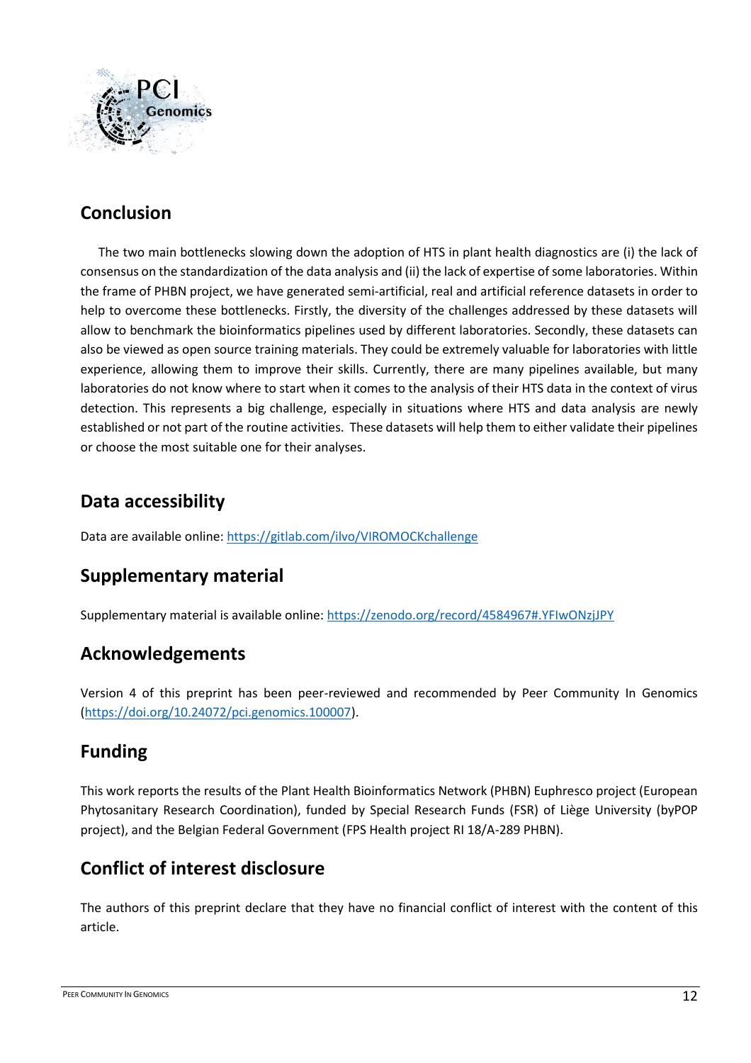

## **Conclusion**

The two main bottlenecks slowing down the adoption of HTS in plant health diagnostics are (i) the lack of consensus on the standardization of the data analysis and (ii) the lack of expertise of some laboratories. Within the frame of PHBN project, we have generated semi-artificial, real and artificial reference datasets in order to help to overcome these bottlenecks. Firstly, the diversity of the challenges addressed by these datasets will allow to benchmark the bioinformatics pipelines used by different laboratories. Secondly, these datasets can also be viewed as open source training materials. They could be extremely valuable for laboratories with little experience, allowing them to improve their skills. Currently, there are many pipelines available, but many laboratories do not know where to start when it comes to the analysis of their HTS data in the context of virus detection. This represents a big challenge, especially in situations where HTS and data analysis are newly established or not part of the routine activities. These datasets will help them to either validate their pipelines or choose the most suitable one for their analyses.

## **Data accessibility**

Data are available online[: https://gitlab.com/ilvo/VIROMOCKchallenge](https://gitlab.com/ilvo/VIROMOCKchallenge)

## **Supplementary material**

Supplementary material is available online:<https://zenodo.org/record/4584967#.YFIwONzjJPY>

## **Acknowledgements**

Version 4 of this preprint has been peer-reviewed and recommended by Peer Community In Genomics [\(https://doi.org/10.24072/pci.genomics.100007\)](https://doi.org/10.24072/pci.genomics.100007).

## **Funding**

This work reports the results of the Plant Health Bioinformatics Network (PHBN) Euphresco project (European Phytosanitary Research Coordination), funded by Special Research Funds (FSR) of Liège University (byPOP project), and the Belgian Federal Government (FPS Health project RI 18/A-289 PHBN).

## **Conflict of interest disclosure**

The authors of this preprint declare that they have no financial conflict of interest with the content of this article.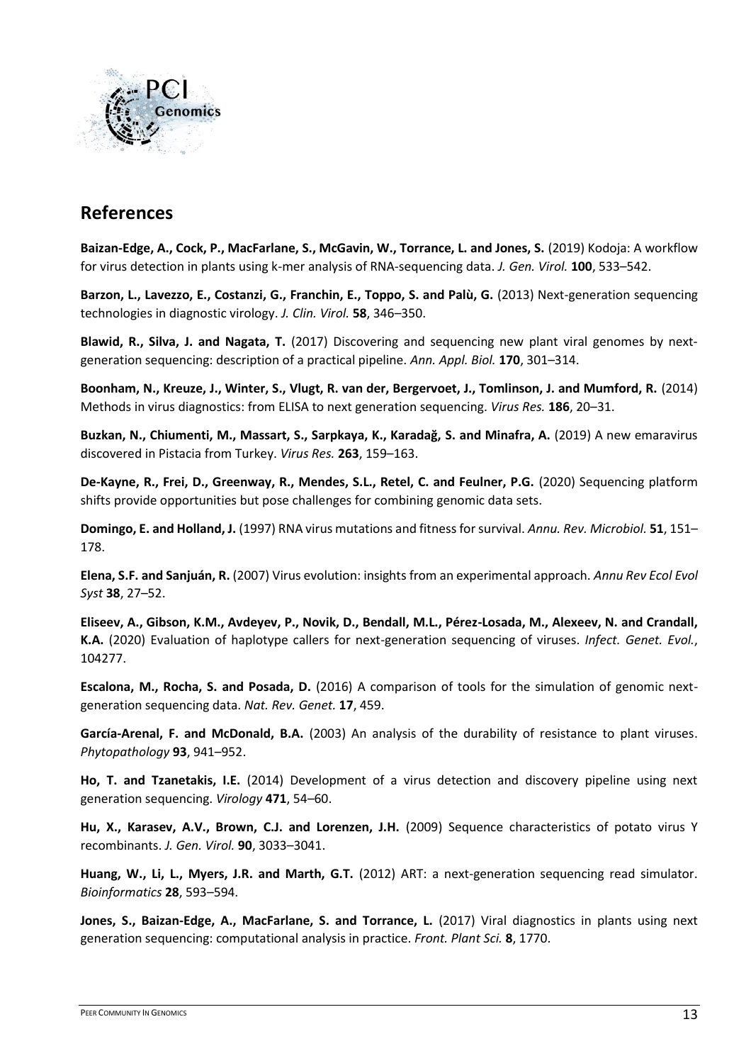

## **References**

**Baizan-Edge, A., Cock, P., MacFarlane, S., McGavin, W., Torrance, L. and Jones, S.** (2019) Kodoja: A workflow for virus detection in plants using k-mer analysis of RNA-sequencing data. *J. Gen. Virol.* **100**, 533–542.

**Barzon, L., Lavezzo, E., Costanzi, G., Franchin, E., Toppo, S. and Palù, G.** (2013) Next-generation sequencing technologies in diagnostic virology. *J. Clin. Virol.* **58**, 346–350.

**Blawid, R., Silva, J. and Nagata, T.** (2017) Discovering and sequencing new plant viral genomes by next‐ generation sequencing: description of a practical pipeline. *Ann. Appl. Biol.* **170**, 301–314.

**Boonham, N., Kreuze, J., Winter, S., Vlugt, R. van der, Bergervoet, J., Tomlinson, J. and Mumford, R.** (2014) Methods in virus diagnostics: from ELISA to next generation sequencing. *Virus Res.* **186**, 20–31.

**Buzkan, N., Chiumenti, M., Massart, S., Sarpkaya, K., Karadağ, S. and Minafra, A.** (2019) A new emaravirus discovered in Pistacia from Turkey. *Virus Res.* **263**, 159–163.

**De‐Kayne, R., Frei, D., Greenway, R., Mendes, S.L., Retel, C. and Feulner, P.G.** (2020) Sequencing platform shifts provide opportunities but pose challenges for combining genomic data sets.

**Domingo, E. and Holland, J.** (1997) RNA virus mutations and fitness for survival. *Annu. Rev. Microbiol.* **51**, 151– 178.

**Elena, S.F. and Sanjuán, R.** (2007) Virus evolution: insights from an experimental approach. *Annu Rev Ecol Evol Syst* **38**, 27–52.

**Eliseev, A., Gibson, K.M., Avdeyev, P., Novik, D., Bendall, M.L., Pérez-Losada, M., Alexeev, N. and Crandall, K.A.** (2020) Evaluation of haplotype callers for next-generation sequencing of viruses. *Infect. Genet. Evol.*, 104277.

**Escalona, M., Rocha, S. and Posada, D.** (2016) A comparison of tools for the simulation of genomic nextgeneration sequencing data. *Nat. Rev. Genet.* **17**, 459.

**García-Arenal, F. and McDonald, B.A.** (2003) An analysis of the durability of resistance to plant viruses. *Phytopathology* **93**, 941–952.

**Ho, T. and Tzanetakis, I.E.** (2014) Development of a virus detection and discovery pipeline using next generation sequencing. *Virology* **471**, 54–60.

**Hu, X., Karasev, A.V., Brown, C.J. and Lorenzen, J.H.** (2009) Sequence characteristics of potato virus Y recombinants. *J. Gen. Virol.* **90**, 3033–3041.

**Huang, W., Li, L., Myers, J.R. and Marth, G.T.** (2012) ART: a next-generation sequencing read simulator. *Bioinformatics* **28**, 593–594.

**Jones, S., Baizan-Edge, A., MacFarlane, S. and Torrance, L.** (2017) Viral diagnostics in plants using next generation sequencing: computational analysis in practice. *Front. Plant Sci.* **8**, 1770.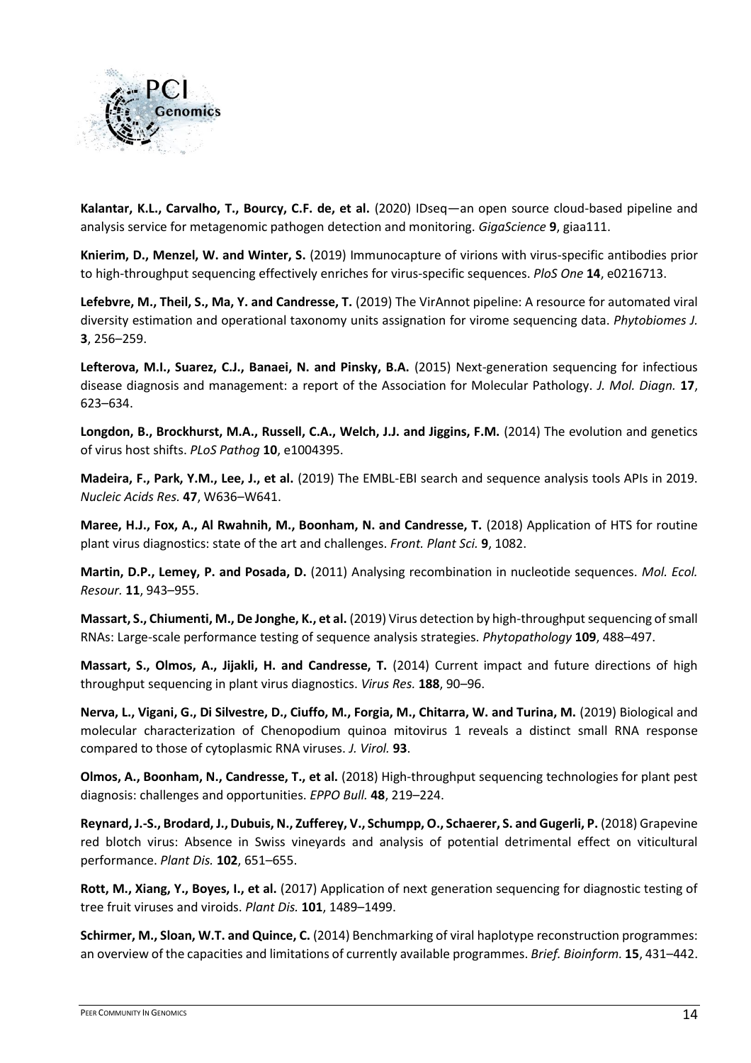

**Kalantar, K.L., Carvalho, T., Bourcy, C.F. de, et al.** (2020) IDseq—an open source cloud-based pipeline and analysis service for metagenomic pathogen detection and monitoring. *GigaScience* **9**, giaa111.

**Knierim, D., Menzel, W. and Winter, S.** (2019) Immunocapture of virions with virus-specific antibodies prior to high-throughput sequencing effectively enriches for virus-specific sequences. *PloS One* **14**, e0216713.

**Lefebvre, M., Theil, S., Ma, Y. and Candresse, T.** (2019) The VirAnnot pipeline: A resource for automated viral diversity estimation and operational taxonomy units assignation for virome sequencing data. *Phytobiomes J.* **3**, 256–259.

**Lefterova, M.I., Suarez, C.J., Banaei, N. and Pinsky, B.A.** (2015) Next-generation sequencing for infectious disease diagnosis and management: a report of the Association for Molecular Pathology. *J. Mol. Diagn.* **17**, 623–634.

**Longdon, B., Brockhurst, M.A., Russell, C.A., Welch, J.J. and Jiggins, F.M.** (2014) The evolution and genetics of virus host shifts. *PLoS Pathog* **10**, e1004395.

**Madeira, F., Park, Y.M., Lee, J., et al.** (2019) The EMBL-EBI search and sequence analysis tools APIs in 2019. *Nucleic Acids Res.* **47**, W636–W641.

**Maree, H.J., Fox, A., Al Rwahnih, M., Boonham, N. and Candresse, T.** (2018) Application of HTS for routine plant virus diagnostics: state of the art and challenges. *Front. Plant Sci.* **9**, 1082.

**Martin, D.P., Lemey, P. and Posada, D.** (2011) Analysing recombination in nucleotide sequences. *Mol. Ecol. Resour.* **11**, 943–955.

**Massart, S., Chiumenti, M., De Jonghe, K., et al.** (2019) Virus detection by high-throughputsequencing of small RNAs: Large-scale performance testing of sequence analysis strategies. *Phytopathology* **109**, 488–497.

**Massart, S., Olmos, A., Jijakli, H. and Candresse, T.** (2014) Current impact and future directions of high throughput sequencing in plant virus diagnostics. *Virus Res.* **188**, 90–96.

**Nerva, L., Vigani, G., Di Silvestre, D., Ciuffo, M., Forgia, M., Chitarra, W. and Turina, M.** (2019) Biological and molecular characterization of Chenopodium quinoa mitovirus 1 reveals a distinct small RNA response compared to those of cytoplasmic RNA viruses. *J. Virol.* **93**.

**Olmos, A., Boonham, N., Candresse, T., et al.** (2018) High‐throughput sequencing technologies for plant pest diagnosis: challenges and opportunities. *EPPO Bull.* **48**, 219–224.

**Reynard, J.-S., Brodard, J., Dubuis, N., Zufferey, V., Schumpp, O., Schaerer, S. and Gugerli, P.** (2018) Grapevine red blotch virus: Absence in Swiss vineyards and analysis of potential detrimental effect on viticultural performance. *Plant Dis.* **102**, 651–655.

**Rott, M., Xiang, Y., Boyes, I., et al.** (2017) Application of next generation sequencing for diagnostic testing of tree fruit viruses and viroids. *Plant Dis.* **101**, 1489–1499.

**Schirmer, M., Sloan, W.T. and Quince, C.** (2014) Benchmarking of viral haplotype reconstruction programmes: an overview of the capacities and limitations of currently available programmes. *Brief. Bioinform.* **15**, 431–442.